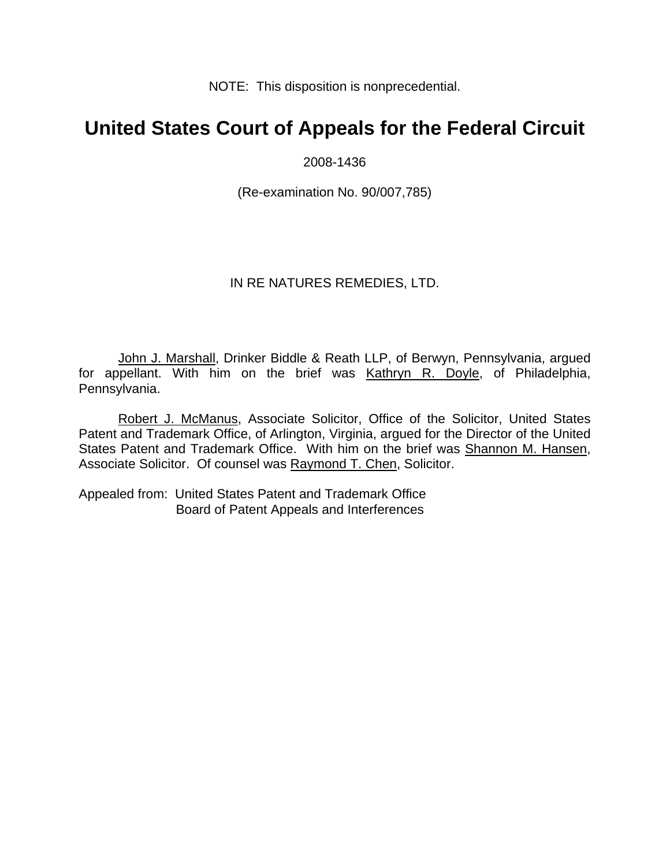NOTE: This disposition is nonprecedential.

# **United States Court of Appeals for the Federal Circuit**

2008-1436

(Re-examination No. 90/007,785)

### IN RE NATURES REMEDIES, LTD.

John J. Marshall, Drinker Biddle & Reath LLP, of Berwyn, Pennsylvania, argued for appellant. With him on the brief was Kathryn R. Doyle, of Philadelphia, Pennsylvania.

Robert J. McManus, Associate Solicitor, Office of the Solicitor, United States Patent and Trademark Office, of Arlington, Virginia, argued for the Director of the United States Patent and Trademark Office. With him on the brief was Shannon M. Hansen, Associate Solicitor. Of counsel was Raymond T. Chen, Solicitor.

Appealed from: United States Patent and Trademark Office Board of Patent Appeals and Interferences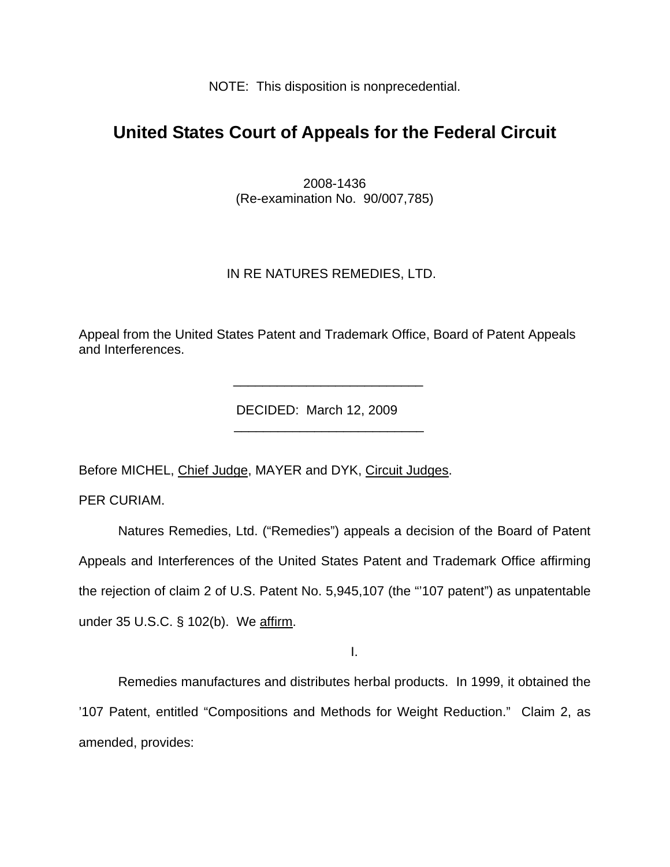NOTE: This disposition is nonprecedential.

## **United States Court of Appeals for the Federal Circuit**

2008-1436 (Re-examination No. 90/007,785)

## IN RE NATURES REMEDIES, LTD.

Appeal from the United States Patent and Trademark Office, Board of Patent Appeals and Interferences.

DECIDED: March 12, 2009

Before MICHEL, Chief Judge, MAYER and DYK, Circuit Judges.

 $\frac{1}{\sqrt{2\pi}}$  ,  $\frac{1}{\sqrt{2\pi}}$  ,  $\frac{1}{\sqrt{2\pi}}$  ,  $\frac{1}{\sqrt{2\pi}}$  ,  $\frac{1}{\sqrt{2\pi}}$  ,  $\frac{1}{\sqrt{2\pi}}$  ,  $\frac{1}{\sqrt{2\pi}}$  ,  $\frac{1}{\sqrt{2\pi}}$  ,  $\frac{1}{\sqrt{2\pi}}$  ,  $\frac{1}{\sqrt{2\pi}}$  ,  $\frac{1}{\sqrt{2\pi}}$  ,  $\frac{1}{\sqrt{2\pi}}$  ,  $\frac{1}{\sqrt{2\pi}}$  ,

 $\frac{1}{\sqrt{2}}$  ,  $\frac{1}{\sqrt{2}}$  ,  $\frac{1}{\sqrt{2}}$  ,  $\frac{1}{\sqrt{2}}$  ,  $\frac{1}{\sqrt{2}}$  ,  $\frac{1}{\sqrt{2}}$  ,  $\frac{1}{\sqrt{2}}$  ,  $\frac{1}{\sqrt{2}}$  ,  $\frac{1}{\sqrt{2}}$  ,  $\frac{1}{\sqrt{2}}$  ,  $\frac{1}{\sqrt{2}}$  ,  $\frac{1}{\sqrt{2}}$  ,  $\frac{1}{\sqrt{2}}$  ,  $\frac{1}{\sqrt{2}}$  ,  $\frac{1}{\sqrt{2}}$ 

PER CURIAM.

Natures Remedies, Ltd. ("Remedies") appeals a decision of the Board of Patent Appeals and Interferences of the United States Patent and Trademark Office affirming the rejection of claim 2 of U.S. Patent No. 5,945,107 (the "'107 patent") as unpatentable under 35 U.S.C. § 102(b). We affirm.

I.

 Remedies manufactures and distributes herbal products. In 1999, it obtained the '107 Patent, entitled "Compositions and Methods for Weight Reduction." Claim 2, as amended, provides: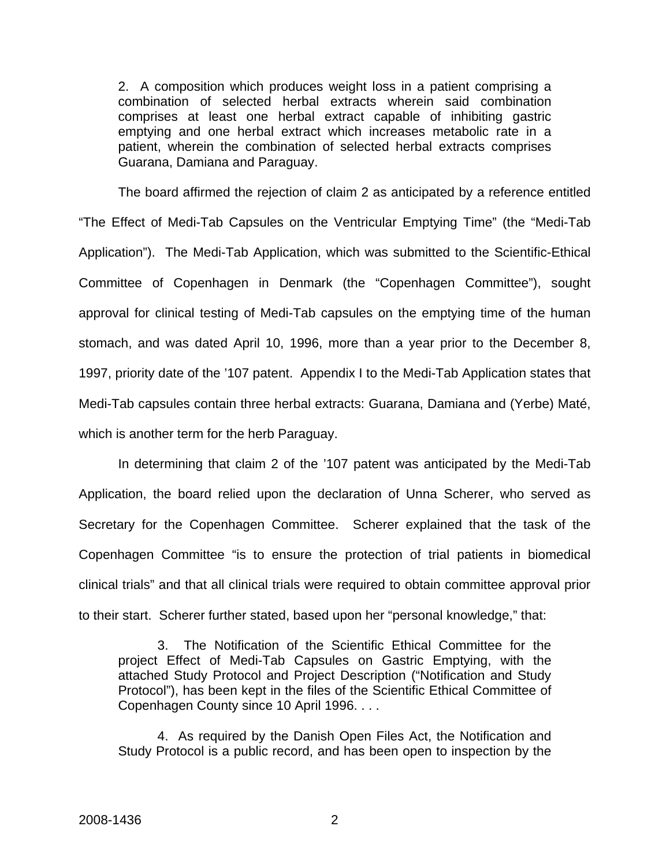2. A composition which produces weight loss in a patient comprising a combination of selected herbal extracts wherein said combination comprises at least one herbal extract capable of inhibiting gastric emptying and one herbal extract which increases metabolic rate in a patient, wherein the combination of selected herbal extracts comprises Guarana, Damiana and Paraguay.

The board affirmed the rejection of claim 2 as anticipated by a reference entitled "The Effect of Medi-Tab Capsules on the Ventricular Emptying Time" (the "Medi-Tab Application"). The Medi-Tab Application, which was submitted to the Scientific-Ethical Committee of Copenhagen in Denmark (the "Copenhagen Committee"), sought approval for clinical testing of Medi-Tab capsules on the emptying time of the human stomach, and was dated April 10, 1996, more than a year prior to the December 8, 1997, priority date of the '107 patent. Appendix I to the Medi-Tab Application states that Medi-Tab capsules contain three herbal extracts: Guarana, Damiana and (Yerbe) Maté, which is another term for the herb Paraguay.

In determining that claim 2 of the '107 patent was anticipated by the Medi-Tab Application, the board relied upon the declaration of Unna Scherer, who served as Secretary for the Copenhagen Committee. Scherer explained that the task of the Copenhagen Committee "is to ensure the protection of trial patients in biomedical clinical trials" and that all clinical trials were required to obtain committee approval prior to their start. Scherer further stated, based upon her "personal knowledge," that:

3. The Notification of the Scientific Ethical Committee for the project Effect of Medi-Tab Capsules on Gastric Emptying, with the attached Study Protocol and Project Description ("Notification and Study Protocol"), has been kept in the files of the Scientific Ethical Committee of Copenhagen County since 10 April 1996. . . .

4. As required by the Danish Open Files Act, the Notification and Study Protocol is a public record, and has been open to inspection by the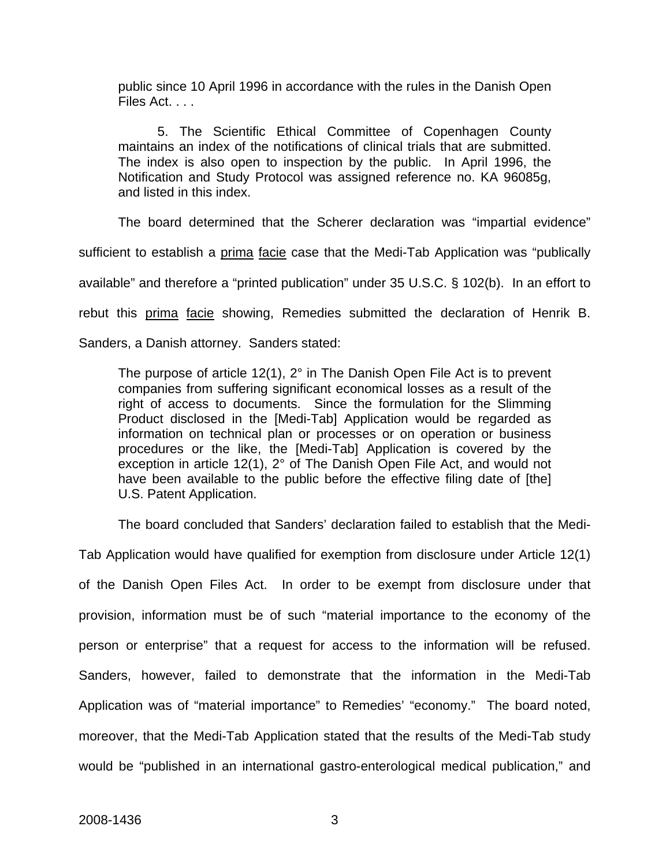public since 10 April 1996 in accordance with the rules in the Danish Open Files Act. . . .

5. The Scientific Ethical Committee of Copenhagen County maintains an index of the notifications of clinical trials that are submitted. The index is also open to inspection by the public. In April 1996, the Notification and Study Protocol was assigned reference no. KA 96085g, and listed in this index.

The board determined that the Scherer declaration was "impartial evidence" sufficient to establish a prima facie case that the Medi-Tab Application was "publically available" and therefore a "printed publication" under 35 U.S.C. § 102(b). In an effort to rebut this prima facie showing, Remedies submitted the declaration of Henrik B. Sanders, a Danish attorney. Sanders stated:

The purpose of article 12(1), 2° in The Danish Open File Act is to prevent companies from suffering significant economical losses as a result of the right of access to documents. Since the formulation for the Slimming Product disclosed in the [Medi-Tab] Application would be regarded as information on technical plan or processes or on operation or business procedures or the like, the [Medi-Tab] Application is covered by the exception in article 12(1), 2° of The Danish Open File Act, and would not have been available to the public before the effective filing date of [the] U.S. Patent Application.

The board concluded that Sanders' declaration failed to establish that the Medi-

Tab Application would have qualified for exemption from disclosure under Article 12(1) of the Danish Open Files Act. In order to be exempt from disclosure under that provision, information must be of such "material importance to the economy of the person or enterprise" that a request for access to the information will be refused. Sanders, however, failed to demonstrate that the information in the Medi-Tab Application was of "material importance" to Remedies' "economy." The board noted, moreover, that the Medi-Tab Application stated that the results of the Medi-Tab study would be "published in an international gastro-enterological medical publication," and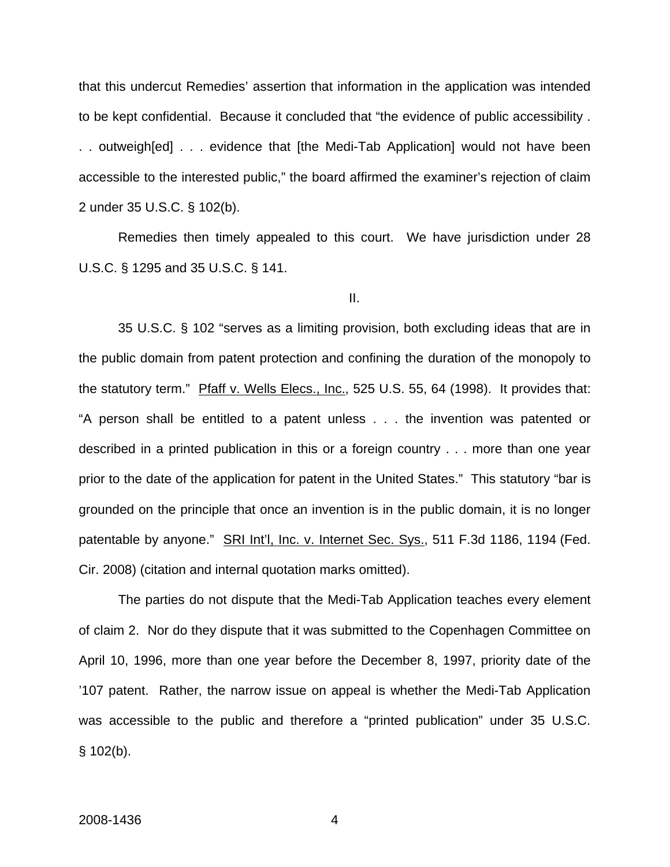that this undercut Remedies' assertion that information in the application was intended to be kept confidential. Because it concluded that "the evidence of public accessibility . . . outweigh[ed] . . . evidence that [the Medi-Tab Application] would not have been accessible to the interested public," the board affirmed the examiner's rejection of claim 2 under 35 U.S.C. § 102(b).

Remedies then timely appealed to this court. We have jurisdiction under 28 U.S.C. § 1295 and 35 U.S.C. § 141.

II.

 35 U.S.C. § 102 "serves as a limiting provision, both excluding ideas that are in the public domain from patent protection and confining the duration of the monopoly to the statutory term." Pfaff v. Wells Elecs., Inc., 525 U.S. 55, 64 (1998). It provides that: "A person shall be entitled to a patent unless . . . the invention was patented or described in a printed publication in this or a foreign country . . . more than one year prior to the date of the application for patent in the United States." This statutory "bar is grounded on the principle that once an invention is in the public domain, it is no longer patentable by anyone." SRI Int'l, Inc. v. Internet Sec. Sys., 511 F.3d 1186, 1194 (Fed. Cir. 2008) (citation and internal quotation marks omitted).

 The parties do not dispute that the Medi-Tab Application teaches every element of claim 2. Nor do they dispute that it was submitted to the Copenhagen Committee on April 10, 1996, more than one year before the December 8, 1997, priority date of the '107 patent. Rather, the narrow issue on appeal is whether the Medi-Tab Application was accessible to the public and therefore a "printed publication" under 35 U.S.C.  $§ 102(b).$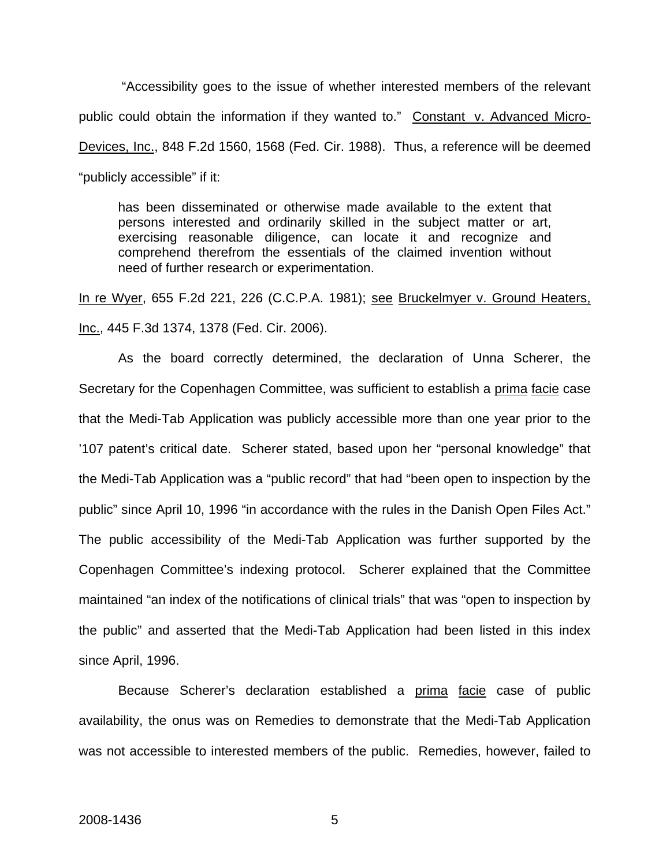"Accessibility goes to the issue of whether interested members of the relevant public could obtain the information if they wanted to." Constant v. Advanced Micro-Devices, Inc., 848 F.2d 1560, 1568 (Fed. Cir. 1988). Thus, a reference will be deemed "publicly accessible" if it:

has been disseminated or otherwise made available to the extent that persons interested and ordinarily skilled in the subject matter or art, exercising reasonable diligence, can locate it and recognize and comprehend therefrom the essentials of the claimed invention without need of further research or experimentation.

In re Wyer, 655 F.2d 221, 226 (C.C.P.A. 1981); see [Bruckelmyer v. Ground Heaters,](https://www.lexis.com/research/buttonTFLink?_m=f20c39023fbf1bb45f54b59b8d885371&_xfercite=%3ccite%20cc%3d%22USA%22%3e%3c%21%5bCDATA%5b2008%20U.S.%20Dist.%20LEXIS%2015292%5d%5d%3e%3c%2fcite%3e&_butType=3&_butStat=2&_butNum=46&_butInline=1&_butinfo=%3ccite%20cc%3d%22USA%22%3e%3c%21%5bCDATA%5b445%20F.3d%201374%2c%201378%5d%5d%3e%3c%2fcite%3e&_fmtstr=FULL&docnum=1&_startdoc=1&wchp=dGLbVlW-zSkAW&_md5=70a0d3dd14a2278e71e3f5852cd7ed25)  [Inc., 445 F.3d 1374, 1378 \(Fed. Cir. 2006\)](https://www.lexis.com/research/buttonTFLink?_m=f20c39023fbf1bb45f54b59b8d885371&_xfercite=%3ccite%20cc%3d%22USA%22%3e%3c%21%5bCDATA%5b2008%20U.S.%20Dist.%20LEXIS%2015292%5d%5d%3e%3c%2fcite%3e&_butType=3&_butStat=2&_butNum=46&_butInline=1&_butinfo=%3ccite%20cc%3d%22USA%22%3e%3c%21%5bCDATA%5b445%20F.3d%201374%2c%201378%5d%5d%3e%3c%2fcite%3e&_fmtstr=FULL&docnum=1&_startdoc=1&wchp=dGLbVlW-zSkAW&_md5=70a0d3dd14a2278e71e3f5852cd7ed25).

As the board correctly determined, the declaration of Unna Scherer, the Secretary for the Copenhagen Committee, was sufficient to establish a prima facie case that the Medi-Tab Application was publicly accessible more than one year prior to the '107 patent's critical date. Scherer stated, based upon her "personal knowledge" that the Medi-Tab Application was a "public record" that had "been open to inspection by the public" since April 10, 1996 "in accordance with the rules in the Danish Open Files Act." The public accessibility of the Medi-Tab Application was further supported by the Copenhagen Committee's indexing protocol. Scherer explained that the Committee maintained "an index of the notifications of clinical trials" that was "open to inspection by the public" and asserted that the Medi-Tab Application had been listed in this index since April, 1996.

Because Scherer's declaration established a prima facie case of public availability, the onus was on Remedies to demonstrate that the Medi-Tab Application was not accessible to interested members of the public. Remedies, however, failed to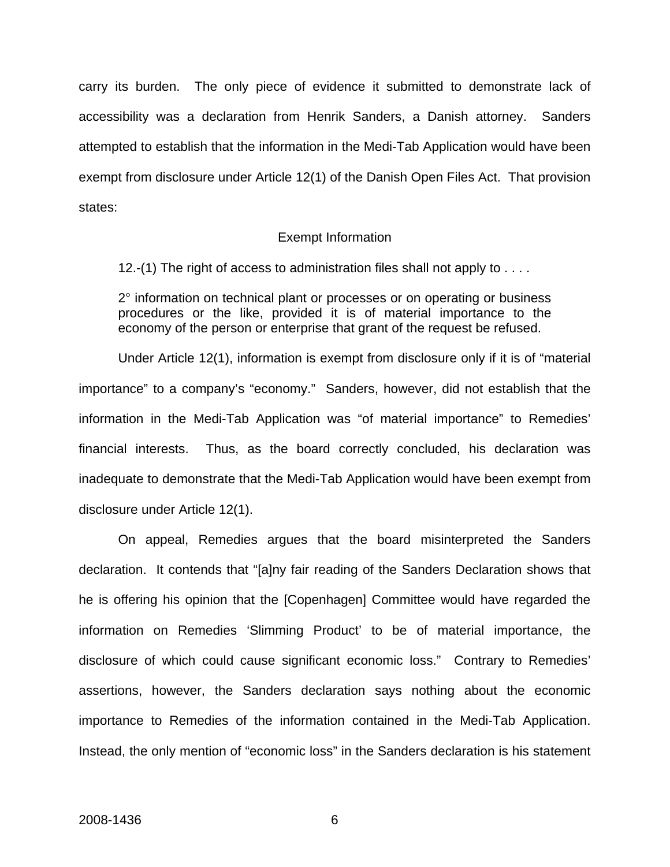carry its burden. The only piece of evidence it submitted to demonstrate lack of accessibility was a declaration from Henrik Sanders, a Danish attorney. Sanders attempted to establish that the information in the Medi-Tab Application would have been exempt from disclosure under Article 12(1) of the Danish Open Files Act. That provision states:

#### Exempt Information

12.-(1) The right of access to administration files shall not apply to . . . .

2° information on technical plant or processes or on operating or business procedures or the like, provided it is of material importance to the economy of the person or enterprise that grant of the request be refused.

 Under Article 12(1), information is exempt from disclosure only if it is of "material importance" to a company's "economy." Sanders, however, did not establish that the information in the Medi-Tab Application was "of material importance" to Remedies' financial interests. Thus, as the board correctly concluded, his declaration was inadequate to demonstrate that the Medi-Tab Application would have been exempt from disclosure under Article 12(1).

On appeal, Remedies argues that the board misinterpreted the Sanders declaration. It contends that "[a]ny fair reading of the Sanders Declaration shows that he is offering his opinion that the [Copenhagen] Committee would have regarded the information on Remedies 'Slimming Product' to be of material importance, the disclosure of which could cause significant economic loss." Contrary to Remedies' assertions, however, the Sanders declaration says nothing about the economic importance to Remedies of the information contained in the Medi-Tab Application. Instead, the only mention of "economic loss" in the Sanders declaration is his statement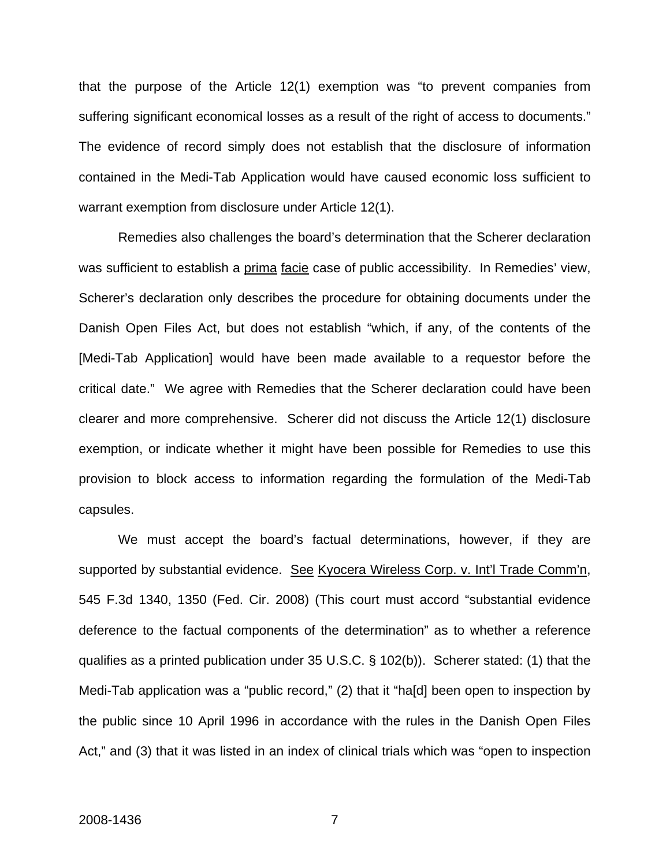that the purpose of the Article 12(1) exemption was "to prevent companies from suffering significant economical losses as a result of the right of access to documents." The evidence of record simply does not establish that the disclosure of information contained in the Medi-Tab Application would have caused economic loss sufficient to warrant exemption from disclosure under Article 12(1).

Remedies also challenges the board's determination that the Scherer declaration was sufficient to establish a prima facie case of public accessibility. In Remedies' view, Scherer's declaration only describes the procedure for obtaining documents under the Danish Open Files Act, but does not establish "which, if any, of the contents of the [Medi-Tab Application] would have been made available to a requestor before the critical date." We agree with Remedies that the Scherer declaration could have been clearer and more comprehensive. Scherer did not discuss the Article 12(1) disclosure exemption, or indicate whether it might have been possible for Remedies to use this provision to block access to information regarding the formulation of the Medi-Tab capsules.

We must accept the board's factual determinations, however, if they are supported by substantial evidence. See Kyocera Wireless Corp. v. Int'l Trade Comm'n, 545 F.3d 1340, 1350 (Fed. Cir. 2008) (This court must accord "substantial evidence deference to the factual components of the determination" as to whether a reference qualifies as a printed publication under 35 U.S.C. § 102(b)). Scherer stated: (1) that the Medi-Tab application was a "public record," (2) that it "ha[d] been open to inspection by the public since 10 April 1996 in accordance with the rules in the Danish Open Files Act," and (3) that it was listed in an index of clinical trials which was "open to inspection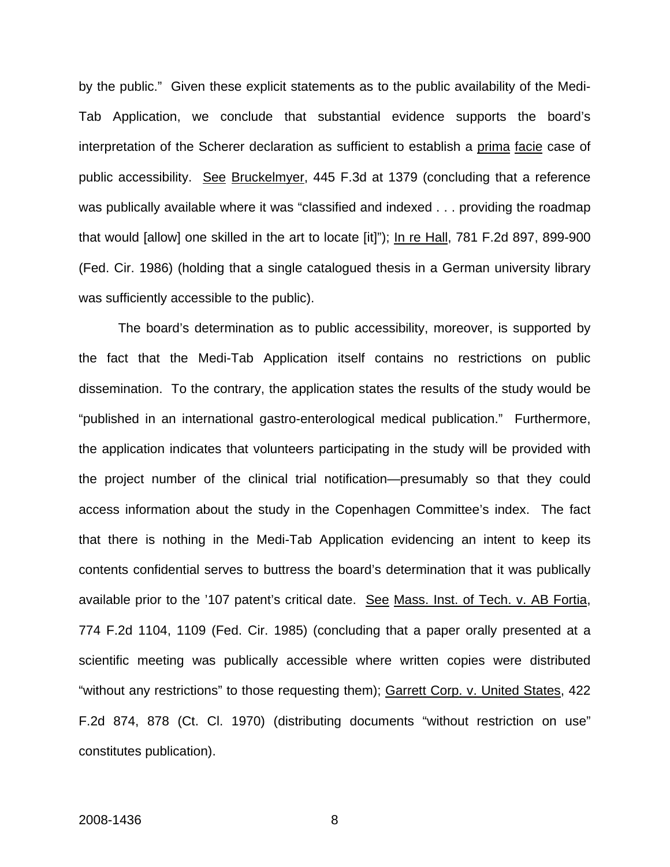by the public." Given these explicit statements as to the public availability of the Medi-Tab Application, we conclude that substantial evidence supports the board's interpretation of the Scherer declaration as sufficient to establish a prima facie case of public accessibility. See [Bruckelmyer, 445 F.3d at 1379 \(concluding that a reference](https://www.lexis.com/research/buttonTFLink?_m=f20c39023fbf1bb45f54b59b8d885371&_xfercite=%3ccite%20cc%3d%22USA%22%3e%3c%21%5bCDATA%5b2008%20U.S.%20Dist.%20LEXIS%2015292%5d%5d%3e%3c%2fcite%3e&_butType=3&_butStat=2&_butNum=46&_butInline=1&_butinfo=%3ccite%20cc%3d%22USA%22%3e%3c%21%5bCDATA%5b445%20F.3d%201374%2c%201378%5d%5d%3e%3c%2fcite%3e&_fmtstr=FULL&docnum=1&_startdoc=1&wchp=dGLbVlW-zSkAW&_md5=70a0d3dd14a2278e71e3f5852cd7ed25)  [was publically available where it was](https://www.lexis.com/research/buttonTFLink?_m=f20c39023fbf1bb45f54b59b8d885371&_xfercite=%3ccite%20cc%3d%22USA%22%3e%3c%21%5bCDATA%5b2008%20U.S.%20Dist.%20LEXIS%2015292%5d%5d%3e%3c%2fcite%3e&_butType=3&_butStat=2&_butNum=46&_butInline=1&_butinfo=%3ccite%20cc%3d%22USA%22%3e%3c%21%5bCDATA%5b445%20F.3d%201374%2c%201378%5d%5d%3e%3c%2fcite%3e&_fmtstr=FULL&docnum=1&_startdoc=1&wchp=dGLbVlW-zSkAW&_md5=70a0d3dd14a2278e71e3f5852cd7ed25) "classified and indexed . . . providing the roadmap that would [allow] one skilled in the art to locate [it]"); In re Hall, 781 F.2d 897, 899-900 (Fed. Cir. 1986) (holding that a single catalogued thesis in a German university library was sufficiently accessible to the public).

The board's determination as to public accessibility, moreover, is supported by the fact that the Medi-Tab Application itself contains no restrictions on public dissemination. To the contrary, the application states the results of the study would be "published in an international gastro-enterological medical publication." Furthermore, the application indicates that volunteers participating in the study will be provided with the project number of the clinical trial notification—presumably so that they could access information about the study in the Copenhagen Committee's index. The fact that there is nothing in the Medi-Tab Application evidencing an intent to keep its contents confidential serves to buttress the board's determination that it was publically available prior to the '107 patent's critical date. See Mass. Inst. of Tech. v. AB Fortia, 774 F.2d 1104, 1109 (Fed. Cir. 1985) (concluding that a paper orally presented at a scientific meeting was publically accessible where written copies were distributed "without any restrictions" to those requesting them); Garrett Corp. v. United States, 422 F.2d 874, 878 (Ct. Cl. 1970) (distributing documents "without restriction on use" constitutes publication).